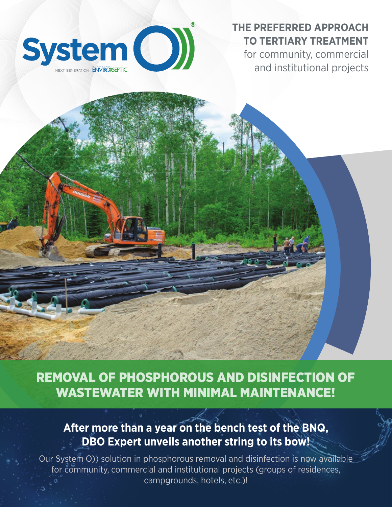

## **THE PREFERRED APPROACH TO TERTIARY TREATMENT**

for community, commercial and institutional projects

REMOVAL OF PHOSPHOROUS AND DISINFECTION OF WASTEWATER WITH MINIMAL MAINTENANCE!

## **After more than a year on the bench test of the BNQ, DBO Expert unveils another string to its bow!**

Our System O)) solution in phosphorous removal and disinfection is now available for community, commercial and institutional projects (groups of residences, campgrounds, hotels, etc.)!